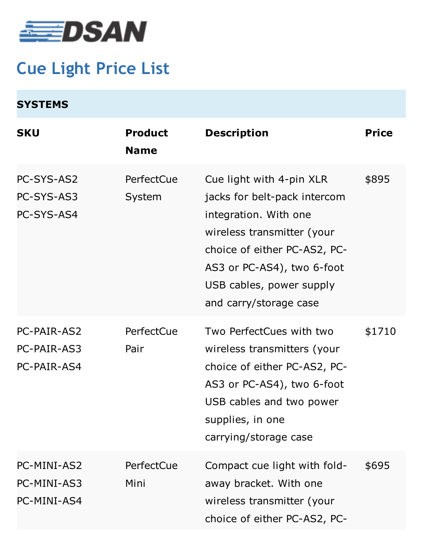

## **Cue Light Price List**

| <b>SYSTEMS</b>                            |                               |                                                                                                                                                                                                                                     |              |
|-------------------------------------------|-------------------------------|-------------------------------------------------------------------------------------------------------------------------------------------------------------------------------------------------------------------------------------|--------------|
| <b>SKU</b>                                | <b>Product</b><br><b>Name</b> | <b>Description</b>                                                                                                                                                                                                                  | <b>Price</b> |
| PC-SYS-AS2<br>PC-SYS-AS3<br>PC-SYS-AS4    | PerfectCue<br>System          | Cue light with 4-pin XLR<br>jacks for belt-pack intercom<br>integration. With one<br>wireless transmitter (your<br>choice of either PC-AS2, PC-<br>AS3 or PC-AS4), two 6-foot<br>USB cables, power supply<br>and carry/storage case | \$895        |
| PC-PAIR-AS2<br>PC-PAIR-AS3<br>PC-PAIR-AS4 | PerfectCue<br>Pair            | Two PerfectCues with two<br>wireless transmitters (your<br>choice of either PC-AS2, PC-<br>AS3 or PC-AS4), two 6-foot<br>USB cables and two power<br>supplies, in one<br>carrying/storage case                                      | \$1710       |
| PC-MINI-AS2<br>PC-MINI-AS3<br>PC-MINI-AS4 | PerfectCue<br>Mini            | Compact cue light with fold-<br>away bracket. With one<br>wireless transmitter (your<br>choice of either PC-AS2, PC-                                                                                                                | \$695        |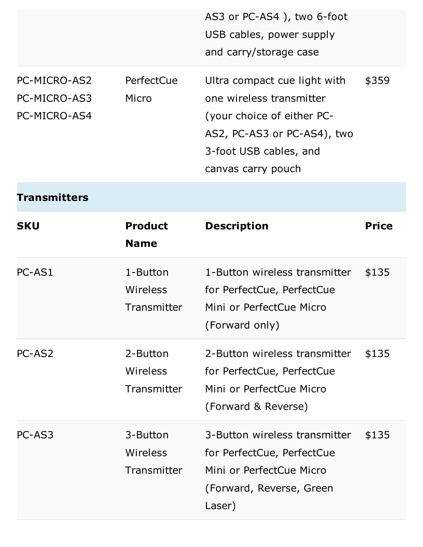|                                              |                                     | AS3 or PC-AS4), two 6-foot<br>USB cables, power supply<br>and carry/storage case                                                                                      |              |
|----------------------------------------------|-------------------------------------|-----------------------------------------------------------------------------------------------------------------------------------------------------------------------|--------------|
| PC-MICRO-AS2<br>PC-MICRO-AS3<br>PC-MICRO-AS4 | PerfectCue<br>Micro                 | Ultra compact cue light with<br>one wireless transmitter<br>(your choice of either PC-<br>AS2, PC-AS3 or PC-AS4), two<br>3-foot USB cables, and<br>canvas carry pouch | \$359        |
| <b>Transmitters</b>                          |                                     |                                                                                                                                                                       |              |
| <b>SKU</b>                                   | <b>Product</b><br><b>Name</b>       | <b>Description</b>                                                                                                                                                    | <b>Price</b> |
| PC-AS1                                       | 1-Button<br>Wireless<br>Transmitter | 1-Button wireless transmitter<br>for PerfectCue, PerfectCue<br>Mini or PerfectCue Micro<br>(Forward only)                                                             | \$135        |
| PC-AS2                                       | 2-Button<br>Wireless<br>Transmitter | 2-Button wireless transmitter<br>for PerfectCue, PerfectCue<br>Mini or PerfectCue Micro<br>(Forward & Reverse)                                                        | \$135        |
| PC-AS3                                       | 3-Button<br>Wireless<br>Transmitter | 3-Button wireless transmitter<br>for PerfectCue, PerfectCue<br>Mini or PerfectCue Micro<br>(Forward, Reverse, Green<br>Laser)                                         | \$135        |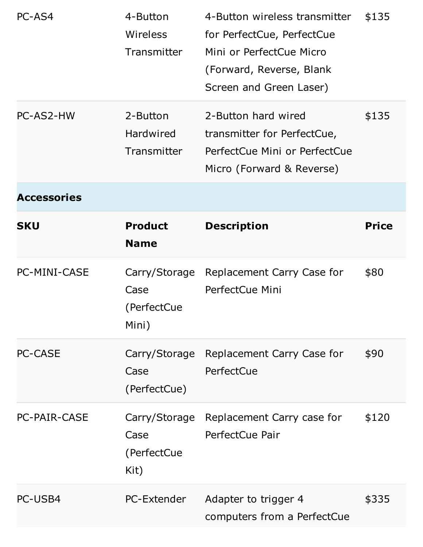|                     | 4-Button<br><b>Wireless</b><br>Transmitter   | 4-Button wireless transmitter<br>for PerfectCue, PerfectCue<br>Mini or PerfectCue Micro<br>(Forward, Reverse, Blank<br>Screen and Green Laser) | \$135        |
|---------------------|----------------------------------------------|------------------------------------------------------------------------------------------------------------------------------------------------|--------------|
| PC-AS2-HW           | 2-Button<br><b>Hardwired</b><br>Transmitter  | 2-Button hard wired<br>transmitter for PerfectCue,<br>PerfectCue Mini or PerfectCue<br>Micro (Forward & Reverse)                               | \$135        |
| <b>Accessories</b>  |                                              |                                                                                                                                                |              |
| <b>SKU</b>          | <b>Product</b><br><b>Name</b>                | <b>Description</b>                                                                                                                             | <b>Price</b> |
| <b>PC-MINI-CASE</b> | Carry/Storage<br>Case                        | Replacement Carry Case for<br>PerfectCue Mini                                                                                                  | \$80         |
|                     | (PerfectCue<br>Mini)                         |                                                                                                                                                |              |
| <b>PC-CASE</b>      | Case<br>(PerfectCue)                         | Carry/Storage Replacement Carry Case for<br>PerfectCue                                                                                         | \$90         |
| <b>PC-PAIR-CASE</b> | Carry/Storage<br>Case<br>(PerfectCue<br>Kit) | Replacement Carry case for<br>PerfectCue Pair                                                                                                  | \$120        |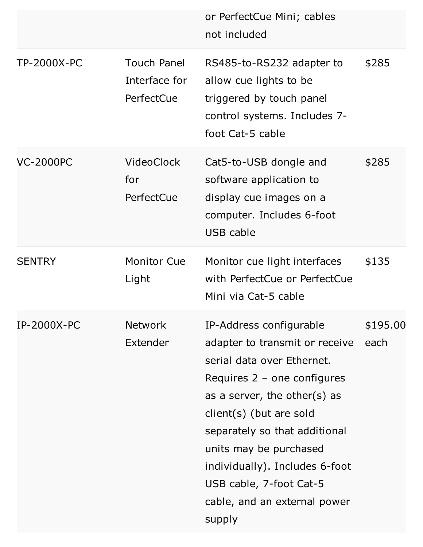|                    |                                                   | or PerfectCue Mini; cables<br>not included                                                                                                                                                                                                                                                                                                            |                  |
|--------------------|---------------------------------------------------|-------------------------------------------------------------------------------------------------------------------------------------------------------------------------------------------------------------------------------------------------------------------------------------------------------------------------------------------------------|------------------|
| <b>TP-2000X-PC</b> | <b>Touch Panel</b><br>Interface for<br>PerfectCue | RS485-to-RS232 adapter to<br>allow cue lights to be<br>triggered by touch panel<br>control systems. Includes 7-<br>foot Cat-5 cable                                                                                                                                                                                                                   | \$285            |
| <b>VC-2000PC</b>   | <b>VideoClock</b><br>for<br>PerfectCue            | Cat5-to-USB dongle and<br>software application to<br>display cue images on a<br>computer. Includes 6-foot<br>USB cable                                                                                                                                                                                                                                | \$285            |
| <b>SENTRY</b>      | <b>Monitor Cue</b><br>Light                       | Monitor cue light interfaces<br>with PerfectCue or PerfectCue<br>Mini via Cat-5 cable                                                                                                                                                                                                                                                                 | \$135            |
| <b>IP-2000X-PC</b> | <b>Network</b><br>Extender                        | IP-Address configurable<br>adapter to transmit or receive<br>serial data over Ethernet.<br>Requires $2 -$ one configures<br>as a server, the other(s) as<br>client(s) (but are sold<br>separately so that additional<br>units may be purchased<br>individually). Includes 6-foot<br>USB cable, 7-foot Cat-5<br>cable, and an external power<br>supply | \$195.00<br>each |